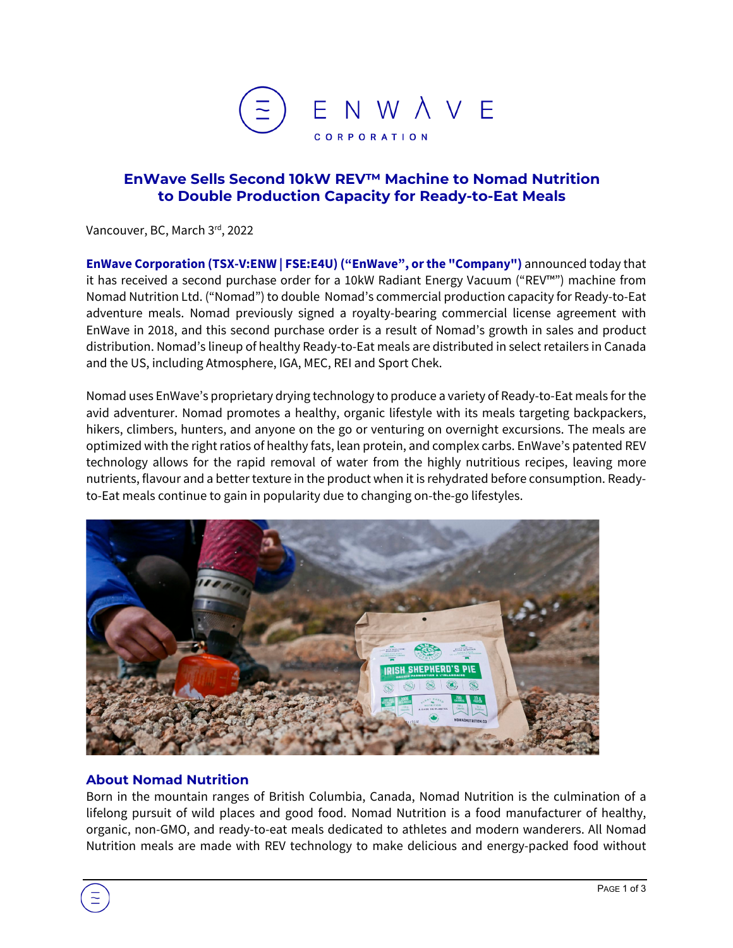

## **EnWave Sells Second 10kW REV™ Machine to Nomad Nutrition to Double Production Capacity for Ready-to-Eat Meals**

Vancouver, BC, March 3<sup>rd</sup>, 2022

**EnWave Corporation (TSX-V:ENW | FSE:E4U) ("EnWave", or the "Company")** announced today that it has received a second purchase order for a 10kW Radiant Energy Vacuum ("REV™") machine from Nomad Nutrition Ltd. ("Nomad") to double Nomad's commercial production capacity for Ready-to-Eat adventure meals. Nomad previously signed a royalty-bearing commercial license agreement with EnWave in 2018, and this second purchase order is a result of Nomad's growth in sales and product distribution. Nomad's lineup of healthy Ready-to-Eat meals are distributed in select retailers in Canada and the US, including Atmosphere, IGA, MEC, REI and Sport Chek.

Nomad uses EnWave's proprietary drying technology to produce a variety of Ready-to-Eat meals for the avid adventurer. Nomad promotes a healthy, organic lifestyle with its meals targeting backpackers, hikers, climbers, hunters, and anyone on the go or venturing on overnight excursions. The meals are optimized with the right ratios of healthy fats, lean protein, and complex carbs. EnWave's patented REV technology allows for the rapid removal of water from the highly nutritious recipes, leaving more nutrients, flavour and a better texture in the product when it is rehydrated before consumption. Readyto-Eat meals continue to gain in popularity due to changing on-the-go lifestyles.



## **About Nomad Nutrition**

Born in the mountain ranges of British Columbia, Canada, Nomad Nutrition is the culmination of a lifelong pursuit of wild places and good food. Nomad Nutrition is a food manufacturer of healthy, organic, non-GMO, and ready-to-eat meals dedicated to athletes and modern wanderers. All Nomad Nutrition meals are made with REV technology to make delicious and energy-packed food without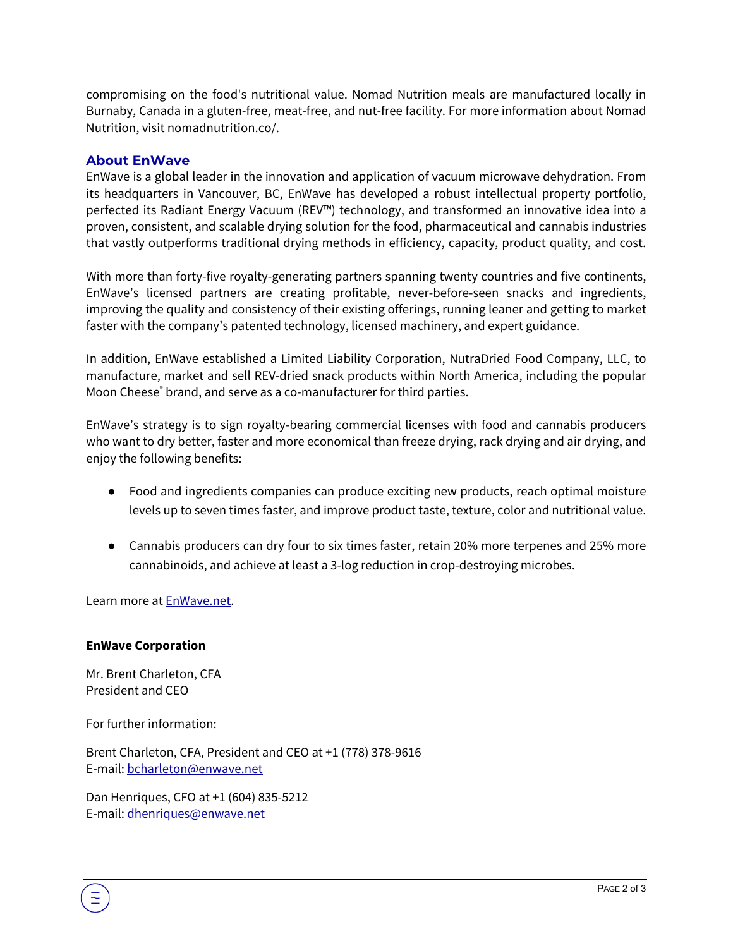compromising on the food's nutritional value. Nomad Nutrition meals are manufactured locally in Burnaby, Canada in a gluten-free, meat-free, and nut-free facility. For more information about Nomad Nutrition, visit [nomadnutrition.co/.](https://www.nomadnutrition.co/)

## **About EnWave**

EnWave is a global leader in the innovation and application of vacuum microwave dehydration. From its headquarters in Vancouver, BC, EnWave has developed a robust intellectual property portfolio, perfected its Radiant Energy Vacuum (REV™) technology, and transformed an innovative idea into a proven, consistent, and scalable drying solution for the food, pharmaceutical and cannabis industries that vastly outperforms traditional drying methods in efficiency, capacity, product quality, and cost.

With more than forty-five royalty-generating partners spanning twenty countries and five continents, EnWave's licensed partners are creating profitable, never-before-seen snacks and ingredients, improving the quality and consistency of their existing offerings, running leaner and getting to market faster with the company's patented technology, licensed machinery, and expert guidance.

In addition, EnWave established a Limited Liability Corporation, NutraDried Food Company, LLC, to manufacture, market and sell REV-dried snack products within North America, including the popular Moon Cheese<sup>®</sup> brand, and serve as a co-manufacturer for third parties.

EnWave's strategy is to sign royalty-bearing commercial licenses with food and cannabis producers who want to dry better, faster and more economical than freeze drying, rack drying and air drying, and enjoy the following benefits:

- Food and ingredients companies can produce exciting new products, reach optimal moisture levels up to seven times faster, and improve product taste, texture, color and nutritional value.
- Cannabis producers can dry four to six times faster, retain 20% more terpenes and 25% more cannabinoids, and achieve at least a 3-log reduction in crop-destroying microbes.

Learn more at EnWave.net.

## **EnWave Corporation**

Mr. Brent Charleton, CFA President and CEO

For further information:

Brent Charleton, CFA, President and CEO at +1 (778) 378-9616 E-mail[: bcharleton@enwave.net](mailto:bcharleton@enwave.net)

Dan Henriques, CFO at +1 (604) 835-5212 E-mail[: dhenriques@enwave.net](mailto:dhenriques@enwave.net)